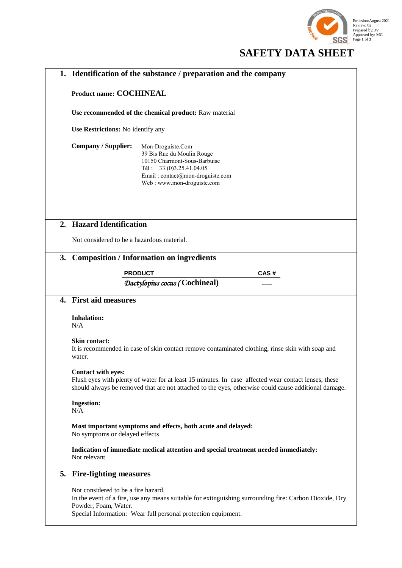

# **SAFETY DATA SHEET**

| 1.                   | Identification of the substance / preparation and the company                                                                                                                                                                             |
|----------------------|-------------------------------------------------------------------------------------------------------------------------------------------------------------------------------------------------------------------------------------------|
|                      | <b>Product name: COCHINEAL</b>                                                                                                                                                                                                            |
|                      | Use recommended of the chemical product: Raw material                                                                                                                                                                                     |
|                      | Use Restrictions: No identify any                                                                                                                                                                                                         |
|                      | <b>Company / Supplier:</b><br>Mon-Droguiste.Com<br>39 Bis Rue du Moulin Rouge<br>10150 Charmont-Sous-Barbuise<br>Tél: +33.(0)3.25.41.04.05<br>Email: contact@mon-droguiste.com<br>Web: www.mon-droguiste.com                              |
|                      | 2. Hazard Identification                                                                                                                                                                                                                  |
|                      | Not considered to be a hazardous material.                                                                                                                                                                                                |
| 3.                   | <b>Composition / Information on ingredients</b>                                                                                                                                                                                           |
|                      | <b>PRODUCT</b><br>CAS#                                                                                                                                                                                                                    |
|                      | Dactylopius cocus (Cochineal)                                                                                                                                                                                                             |
| $\mathbf{4}_{\cdot}$ | <b>First aid measures</b>                                                                                                                                                                                                                 |
|                      | <b>Inhalation:</b><br>N/A                                                                                                                                                                                                                 |
|                      | Skin contact:<br>It is recommended in case of skin contact remove contaminated clothing, rinse skin with soap and<br>water.                                                                                                               |
|                      | <b>Contact with eyes:</b><br>Flush eyes with plenty of water for at least 15 minutes. In case affected wear contact lenses, these<br>should always be removed that are not attached to the eyes, otherwise could cause additional damage. |
|                      | <b>Ingestion:</b><br>N/A                                                                                                                                                                                                                  |
|                      | Most important symptoms and effects, both acute and delayed:<br>No symptoms or delayed effects                                                                                                                                            |
|                      | Indication of immediate medical attention and special treatment needed immediately:<br>Not relevant                                                                                                                                       |
|                      | 5. Fire-fighting measures                                                                                                                                                                                                                 |
|                      | Not considered to be a fire hazard.<br>In the event of a fire, use any means suitable for extinguishing surrounding fire: Carbon Dioxide, Dry<br>Powder, Foam, Water.<br>Special Information: Wear full personal protection equipment.    |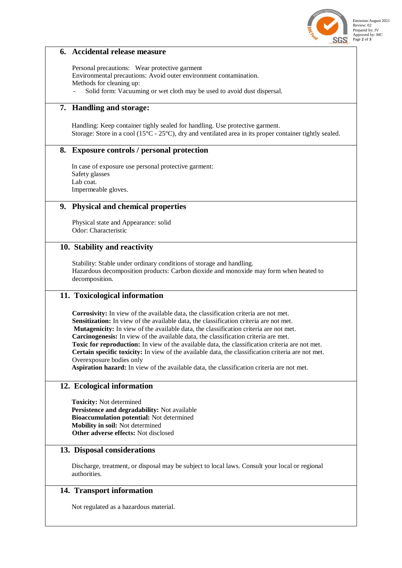

#### Emission:August 2021 Review: 02 Prepared by: JV Approved by: MC Page **2** of **3**

#### **6. Accidental release measure**

Personal precautions: Wear protective garment Environmental precautions: Avoid outer environment contamination. Methods for cleaning up: Solid form: Vacuuming or wet cloth may be used to avoid dust dispersal.

## **7. Handling and storage:**

Handling: Keep container tighly sealed for handling. Use protective garment. Storage: Store in a cool (15°C - 25°C), dry and ventilated area in its proper container tightly sealed.

#### **8. Exposure controls / personal protection**

In case of exposure use personal protective garment: Safety glasses Lab coat. Impermeable gloves.

#### **9. Physical and chemical properties**

Physical state and Appearance: solid Odor: Characteristic

#### **10. Stability and reactivity**

Stability: Stable under ordinary conditions of storage and handling. Hazardous decomposition products: Carbon dioxide and monoxide may form when heated to decomposition.

#### **11. Toxicological information**

**Corrosivity:** In view of the available data, the classification criteria are not met. Sensitization: In view of the available data, the classification criteria are not met. **Mutagenicity:** In view of the available data, the classification criteria are not met. **Carcinogenesis:** In view of the available data, the classification criteria are met. **Toxic for reproduction:** In view of the available data, the classification criteria are not met. **Certain specific toxicity:** In view of the available data, the classification criteria are not met. Overexposure bodies only

**Aspiration hazard:** In view of the available data, the classification criteria are not met.

#### **12. Ecological information**

**Toxicity:** Not determined **Persistence and degradability:** Not available **Bioaccumulation potential:** Not determined **Mobility in soil:** Not determined **Other adverse effects:** Not disclosed

#### **13. Disposal considerations**

Discharge, treatment, or disposal may be subject to local laws. Consult your local or regional authorities.

#### **14. Transport information**

Not regulated as a hazardous material.